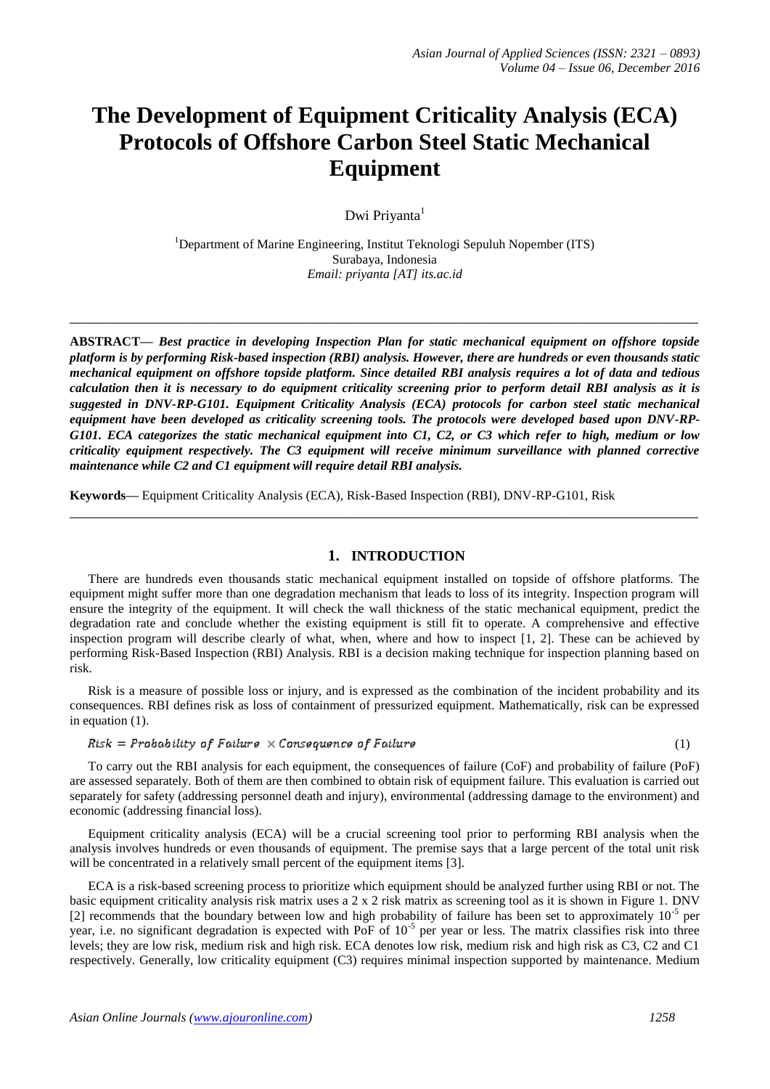# **The Development of Equipment Criticality Analysis (ECA) Protocols of Offshore Carbon Steel Static Mechanical Equipment**

Dwi Priyanta<sup>1</sup>

<sup>1</sup>Department of Marine Engineering, Institut Teknologi Sepuluh Nopember (ITS) Surabaya, Indonesia *Email: priyanta [AT] its.ac.id*

**\_\_\_\_\_\_\_\_\_\_\_\_\_\_\_\_\_\_\_\_\_\_\_\_\_\_\_\_\_\_\_\_\_\_\_\_\_\_\_\_\_\_\_\_\_\_\_\_\_\_\_\_\_\_\_\_\_\_\_\_\_\_\_\_\_\_\_\_\_\_\_\_\_\_\_\_\_\_\_\_\_**

**ABSTRACT—** *Best practice in developing Inspection Plan for static mechanical equipment on offshore topside platform is by performing Risk-based inspection (RBI) analysis. However, there are hundreds or even thousands static mechanical equipment on offshore topside platform. Since detailed RBI analysis requires a lot of data and tedious calculation then it is necessary to do equipment criticality screening prior to perform detail RBI analysis as it is suggested in DNV-RP-G101. Equipment Criticality Analysis (ECA) protocols for carbon steel static mechanical equipment have been developed as criticality screening tools. The protocols were developed based upon DNV-RP-G101. ECA categorizes the static mechanical equipment into C1, C2, or C3 which refer to high, medium or low criticality equipment respectively. The C3 equipment will receive minimum surveillance with planned corrective maintenance while C2 and C1 equipment will require detail RBI analysis.*

**Keywords—** Equipment Criticality Analysis (ECA), Risk-Based Inspection (RBI), DNV-RP-G101, Risk

#### **1. INTRODUCTION**

**\_\_\_\_\_\_\_\_\_\_\_\_\_\_\_\_\_\_\_\_\_\_\_\_\_\_\_\_\_\_\_\_\_\_\_\_\_\_\_\_\_\_\_\_\_\_\_\_\_\_\_\_\_\_\_\_\_\_\_\_\_\_\_\_\_\_\_\_\_\_\_\_\_\_\_\_\_\_\_\_\_**

There are hundreds even thousands static mechanical equipment installed on topside of offshore platforms. The equipment might suffer more than one degradation mechanism that leads to loss of its integrity. Inspection program will ensure the integrity of the equipment. It will check the wall thickness of the static mechanical equipment, predict the degradation rate and conclude whether the existing equipment is still fit to operate. A comprehensive and effective inspection program will describe clearly of what, when, where and how to inspect [1, 2]. These can be achieved by performing Risk-Based Inspection (RBI) Analysis. RBI is a decision making technique for inspection planning based on risk.

Risk is a measure of possible loss or injury, and is expressed as the combination of the incident probability and its consequences. RBI defines risk as loss of containment of pressurized equipment. Mathematically, risk can be expressed in equation (1).

#### $Risk = Probability$  of Failure  $\times$  Consequence of Failure

To carry out the RBI analysis for each equipment, the consequences of failure (CoF) and probability of failure (PoF) are assessed separately. Both of them are then combined to obtain risk of equipment failure. This evaluation is carried out separately for safety (addressing personnel death and injury), environmental (addressing damage to the environment) and economic (addressing financial loss).

Equipment criticality analysis (ECA) will be a crucial screening tool prior to performing RBI analysis when the analysis involves hundreds or even thousands of equipment. The premise says that a large percent of the total unit risk will be concentrated in a relatively small percent of the equipment items [3].

ECA is a risk-based screening process to prioritize which equipment should be analyzed further using RBI or not. The basic equipment criticality analysis risk matrix uses a 2 x 2 risk matrix as screening tool as it is shown in Figure 1. DNV [2] recommends that the boundary between low and high probability of failure has been set to approximately 10<sup>-5</sup> per year, i.e. no significant degradation is expected with PoF of  $10^{-5}$  per year or less. The matrix classifies risk into three levels; they are low risk, medium risk and high risk. ECA denotes low risk, medium risk and high risk as C3, C2 and C1 respectively. Generally, low criticality equipment (C3) requires minimal inspection supported by maintenance. Medium

(1)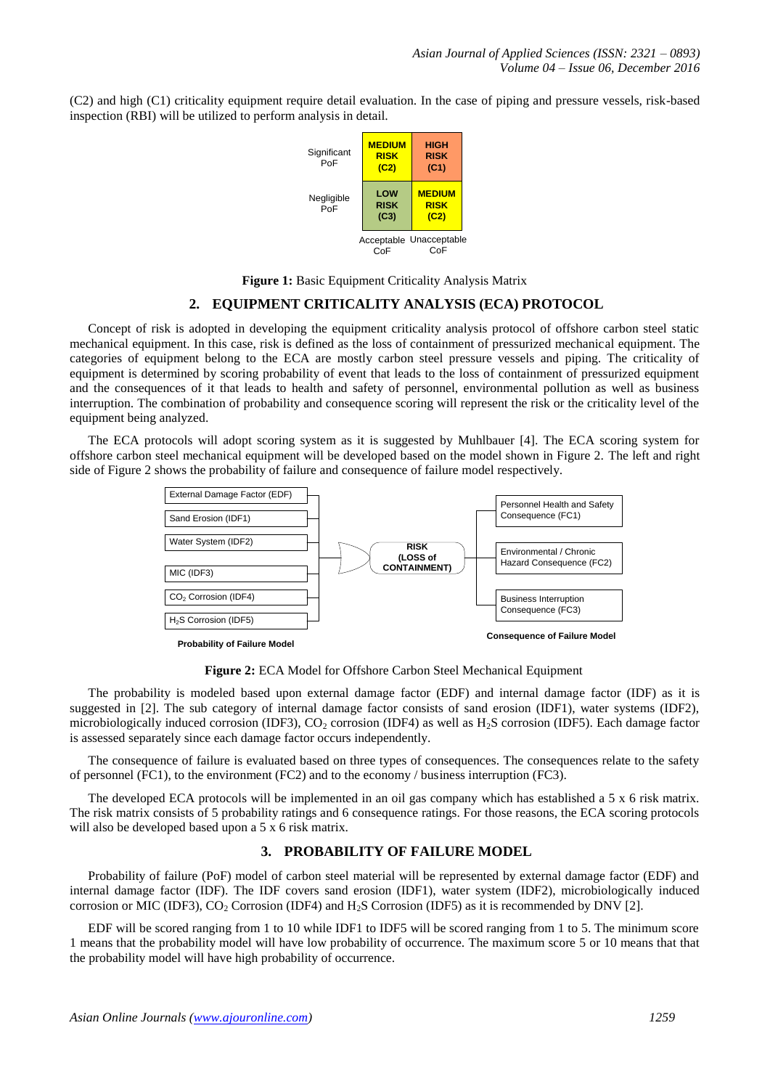(C2) and high (C1) criticality equipment require detail evaluation. In the case of piping and pressure vessels, risk-based inspection (RBI) will be utilized to perform analysis in detail.



**Figure 1:** Basic Equipment Criticality Analysis Matrix

#### **2. EQUIPMENT CRITICALITY ANALYSIS (ECA) PROTOCOL**

Concept of risk is adopted in developing the equipment criticality analysis protocol of offshore carbon steel static mechanical equipment. In this case, risk is defined as the loss of containment of pressurized mechanical equipment. The categories of equipment belong to the ECA are mostly carbon steel pressure vessels and piping. The criticality of equipment is determined by scoring probability of event that leads to the loss of containment of pressurized equipment and the consequences of it that leads to health and safety of personnel, environmental pollution as well as business interruption. The combination of probability and consequence scoring will represent the risk or the criticality level of the equipment being analyzed.

The ECA protocols will adopt scoring system as it is suggested by Muhlbauer [4]. The ECA scoring system for offshore carbon steel mechanical equipment will be developed based on the model shown in Figure 2. The left and right side of Figure 2 shows the probability of failure and consequence of failure model respectively.



**Figure 2:** ECA Model for Offshore Carbon Steel Mechanical Equipment

The probability is modeled based upon external damage factor (EDF) and internal damage factor (IDF) as it is suggested in [2]. The sub category of internal damage factor consists of sand erosion (IDF1), water systems (IDF2), microbiologically induced corrosion (IDF3), CO<sub>2</sub> corrosion (IDF4) as well as H<sub>2</sub>S corrosion (IDF5). Each damage factor is assessed separately since each damage factor occurs independently.

The consequence of failure is evaluated based on three types of consequences. The consequences relate to the safety of personnel (FC1), to the environment (FC2) and to the economy / business interruption (FC3).

The developed ECA protocols will be implemented in an oil gas company which has established a 5 x 6 risk matrix. The risk matrix consists of 5 probability ratings and 6 consequence ratings. For those reasons, the ECA scoring protocols will also be developed based upon a 5 x 6 risk matrix.

#### **3. PROBABILITY OF FAILURE MODEL**

Probability of failure (PoF) model of carbon steel material will be represented by external damage factor (EDF) and internal damage factor (IDF). The IDF covers sand erosion (IDF1), water system (IDF2), microbiologically induced corrosion or MIC (IDF3),  $CO_2$  Corrosion (IDF4) and H<sub>2</sub>S Corrosion (IDF5) as it is recommended by DNV [2].

EDF will be scored ranging from 1 to 10 while IDF1 to IDF5 will be scored ranging from 1 to 5. The minimum score 1 means that the probability model will have low probability of occurrence. The maximum score 5 or 10 means that that the probability model will have high probability of occurrence.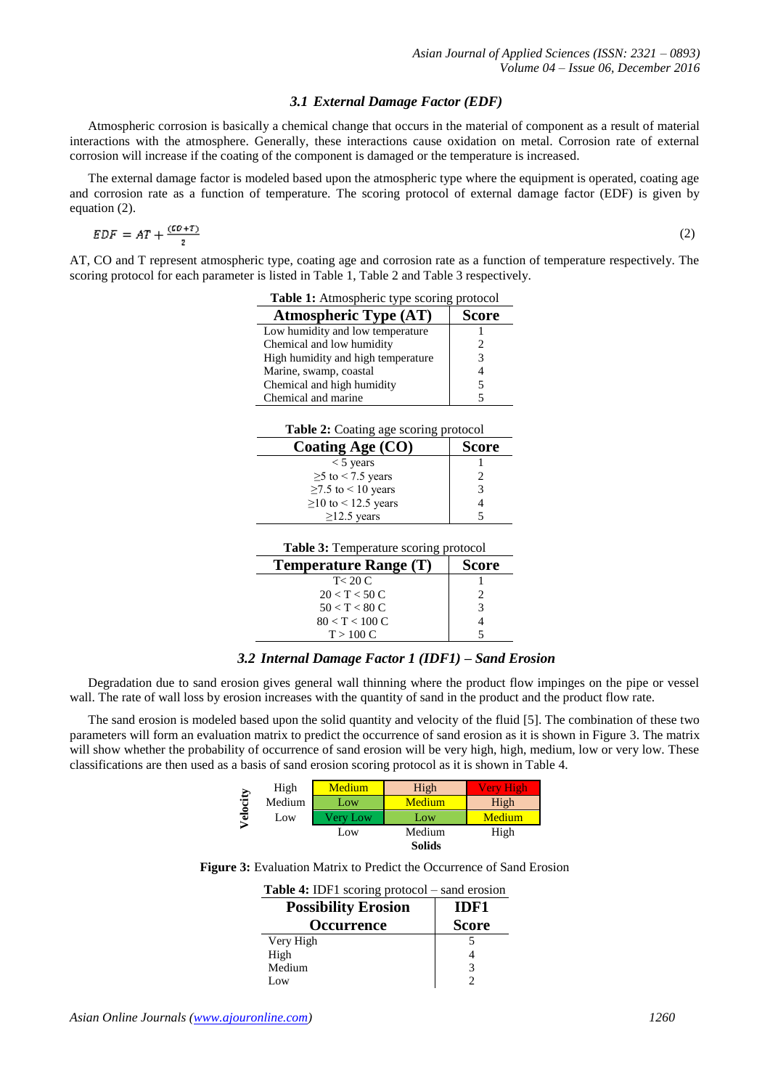#### *3.1 External Damage Factor (EDF)*

Atmospheric corrosion is basically a chemical change that occurs in the material of component as a result of material interactions with the atmosphere. Generally, these interactions cause oxidation on metal. Corrosion rate of external corrosion will increase if the coating of the component is damaged or the temperature is increased.

The external damage factor is modeled based upon the atmospheric type where the equipment is operated, coating age and corrosion rate as a function of temperature. The scoring protocol of external damage factor (EDF) is given by equation (2).

$$
EDF = AT + \frac{(CD+T)}{2}
$$

L,

(2)

AT, CO and T represent atmospheric type, coating age and corrosion rate as a function of temperature respectively. The scoring protocol for each parameter is listed in Table 1, Table 2 and Table 3 respectively.

| <b>Table 1:</b> Atmospheric type scoring protocol |              |
|---------------------------------------------------|--------------|
| <b>Atmospheric Type (AT)</b>                      | <b>Score</b> |
| Low humidity and low temperature                  |              |
| Chemical and low humidity                         |              |
| High humidity and high temperature                |              |
| Marine, swamp, coastal                            |              |
| Chemical and high humidity                        |              |
| Chemical and marine                               |              |

**Table 2:** Coating age scoring protocol

| Coating Age (CO)          | <b>Score</b> |
|---------------------------|--------------|
| $<$ 5 years               |              |
| $\geq$ to < 7.5 years     |              |
| $\geq$ 7.5 to < 10 years  | 3            |
| $\geq$ 10 to < 12.5 years |              |
| $>12.5$ vears             |              |

| <b>Temperature Range (T)</b> | <b>Score</b> |
|------------------------------|--------------|
| T < 20 C                     |              |
| 20 < T < 50 C                |              |
| $50 < T < 80$ C              |              |
| $80 < T < 100$ C             |              |
| T > 100 C                    |              |
|                              |              |

#### *3.2 Internal Damage Factor 1 (IDF1) – Sand Erosion*

Degradation due to sand erosion gives general wall thinning where the product flow impinges on the pipe or vessel wall. The rate of wall loss by erosion increases with the quantity of sand in the product and the product flow rate.

The sand erosion is modeled based upon the solid quantity and velocity of the fluid [5]. The combination of these two parameters will form an evaluation matrix to predict the occurrence of sand erosion as it is shown in Figure 3. The matrix will show whether the probability of occurrence of sand erosion will be very high, high, medium, low or very low. These classifications are then used as a basis of sand erosion scoring protocol as it is shown in Table 4.

|           | High   | Medium   | High          | Verv High |
|-----------|--------|----------|---------------|-----------|
| ocity     | Medium | Low      | Medium        | High      |
| $\bar{e}$ | Low    | Very Low | Low           | Medium    |
|           |        | Low      | Medium        | High      |
|           |        |          | <b>Solids</b> |           |

| <b>Table 4:</b> IDF1 scoring protocol – sand erosion |              |
|------------------------------------------------------|--------------|
| <b>Possibility Erosion</b>                           | IDF1         |
| <b>Occurrence</b>                                    | <b>Score</b> |
| Very High                                            |              |
| High                                                 |              |
| Medium                                               | 3            |
| Low                                                  |              |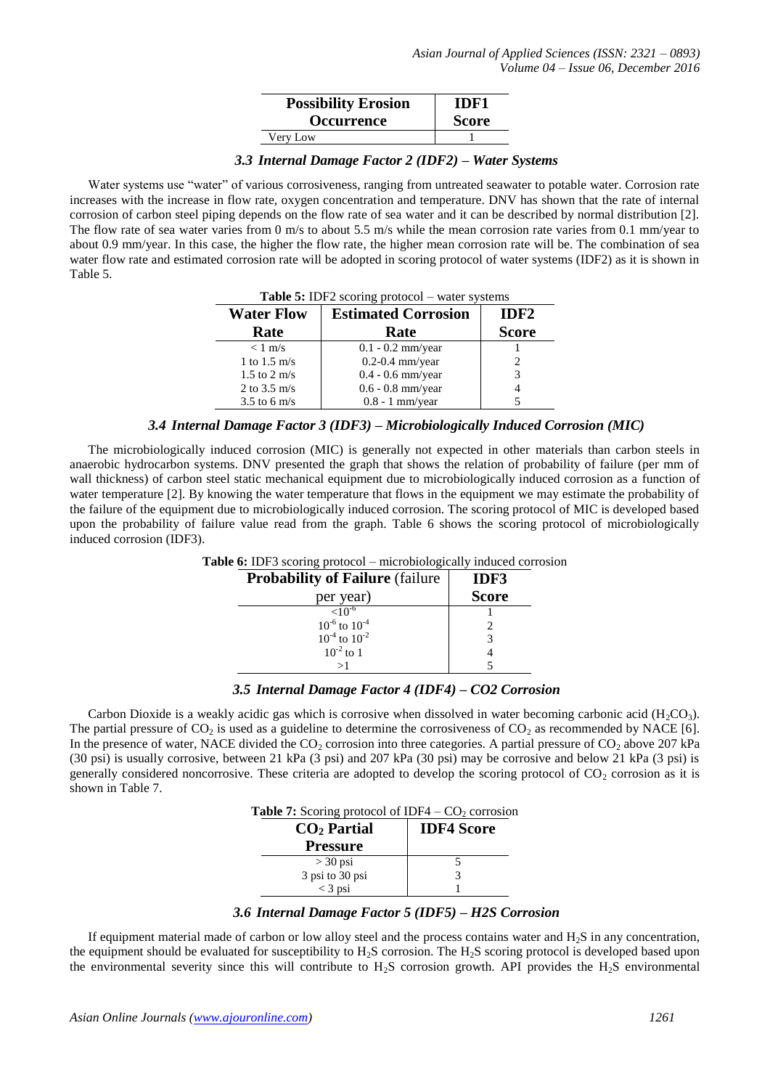| <b>Possibility Erosion</b> | IDF1         |
|----------------------------|--------------|
| <b>Occurrence</b>          | <b>Score</b> |
| Very Low                   |              |

#### *3.3 Internal Damage Factor 2 (IDF2) – Water Systems*

Water systems use "water" of various corrosiveness, ranging from untreated seawater to potable water. Corrosion rate increases with the increase in flow rate, oxygen concentration and temperature. DNV has shown that the rate of internal corrosion of carbon steel piping depends on the flow rate of sea water and it can be described by normal distribution [2]. The flow rate of sea water varies from 0 m/s to about 5.5 m/s while the mean corrosion rate varies from 0.1 mm/year to about 0.9 mm/year. In this case, the higher the flow rate, the higher mean corrosion rate will be. The combination of sea water flow rate and estimated corrosion rate will be adopted in scoring protocol of water systems (IDF2) as it is shown in Table 5.

| <b>THE 2.</b> IDT $\approx$ scoting protocol<br>water pypicins |                            |                  |
|----------------------------------------------------------------|----------------------------|------------------|
| <b>Water Flow</b>                                              | <b>Estimated Corrosion</b> | IDF <sub>2</sub> |
| Rate                                                           | Rate                       | <b>Score</b>     |
| $< 1$ m/s                                                      | $0.1 - 0.2$ mm/year        |                  |
| 1 to $1.5 \text{ m/s}$                                         | $0.2$ -0.4 mm/year         |                  |
| $1.5$ to $2 \text{ m/s}$                                       | $0.4 - 0.6$ mm/year        |                  |
| 2 to $3.5 \text{ m/s}$                                         | $0.6 - 0.8$ mm/year        |                  |
| $3.5$ to 6 m/s                                                 | $0.8 - 1$ mm/year          |                  |

**Table 5:** IDF2 scoring protocol – water systems

### *3.4 Internal Damage Factor 3 (IDF3) – Microbiologically Induced Corrosion (MIC)*

The microbiologically induced corrosion (MIC) is generally not expected in other materials than carbon steels in anaerobic hydrocarbon systems. DNV presented the graph that shows the relation of probability of failure (per mm of wall thickness) of carbon steel static mechanical equipment due to microbiologically induced corrosion as a function of water temperature [2]. By knowing the water temperature that flows in the equipment we may estimate the probability of the failure of the equipment due to microbiologically induced corrosion. The scoring protocol of MIC is developed based upon the probability of failure value read from the graph. Table 6 shows the scoring protocol of microbiologically induced corrosion (IDF3).

| <b>Probability of Failure</b> (failure) | IDF3         |
|-----------------------------------------|--------------|
| per year)                               | <b>Score</b> |
| $< 10^{-6}$                             |              |
| $10^{-6}$ to $10^{-4}$                  |              |
| $10^{-4}$ to $10^{-2}$                  |              |
| $10^{-2}$ to 1                          |              |
|                                         |              |

**Table 6:** IDF3 scoring protocol – microbiologically induced corrosion

#### *3.5 Internal Damage Factor 4 (IDF4) – CO2 Corrosion*

Carbon Dioxide is a weakly acidic gas which is corrosive when dissolved in water becoming carbonic acid (H<sub>2</sub>CO<sub>3</sub>). The partial pressure of  $CO_2$  is used as a guideline to determine the corrosiveness of  $CO_2$  as recommended by NACE [6]. In the presence of water, NACE divided the  $CO<sub>2</sub>$  corrosion into three categories. A partial pressure of  $CO<sub>2</sub>$  above 207 kPa (30 psi) is usually corrosive, between 21 kPa (3 psi) and 207 kPa (30 psi) may be corrosive and below 21 kPa (3 psi) is generally considered noncorrosive. These criteria are adopted to develop the scoring protocol of  $CO<sub>2</sub>$  corrosion as it is shown in Table 7.

| <b>Table 7:</b> Scoring protocol of IDF4 $-$ CO <sub>2</sub> corrosion |  |
|------------------------------------------------------------------------|--|
|------------------------------------------------------------------------|--|

| $CO2$ Partial<br><b>Pressure</b> | <b>IDF4 Score</b> |
|----------------------------------|-------------------|
| $>$ 30 psi                       |                   |
| 3 psi to 30 psi                  |                   |
| $<$ 3 psi                        |                   |

#### *3.6 Internal Damage Factor 5 (IDF5) – H2S Corrosion*

If equipment material made of carbon or low alloy steel and the process contains water and  $H<sub>2</sub>S$  in any concentration, the equipment should be evaluated for susceptibility to  $H_2S$  corrosion. The  $H_2S$  scoring protocol is developed based upon the environmental severity since this will contribute to  $H_2S$  corrosion growth. API provides the  $H_2S$  environmental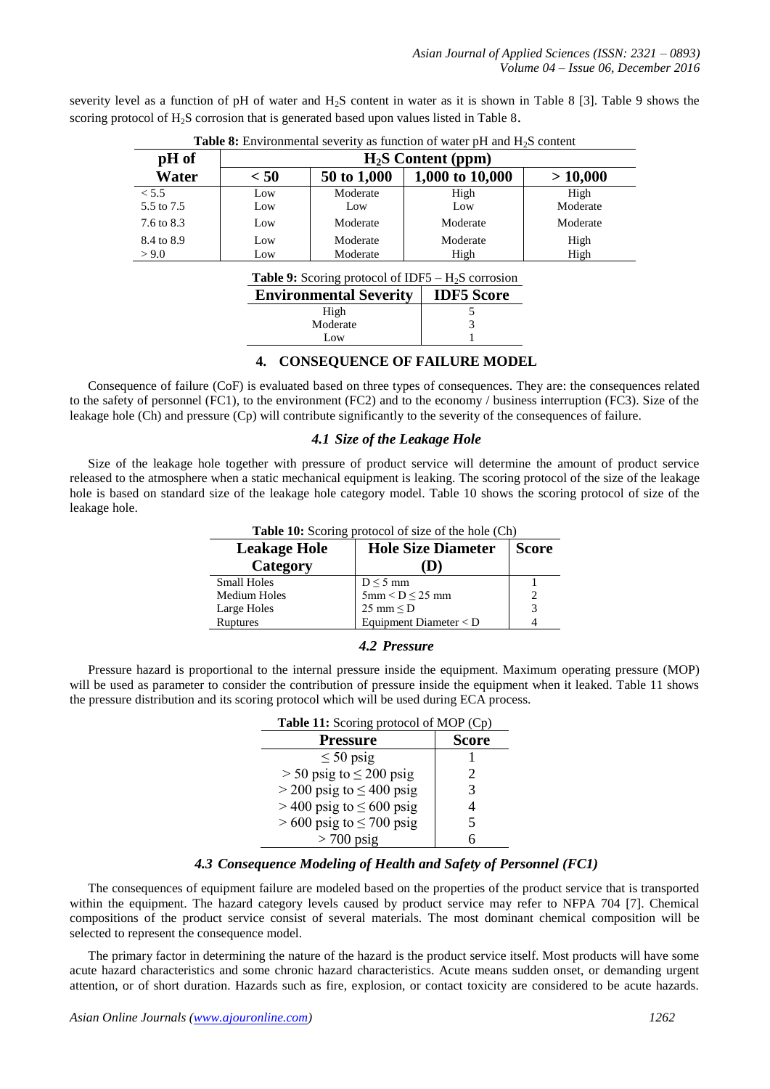| pH of      | $H2S$ Content (ppm) |             |                 |          |  |  |  |
|------------|---------------------|-------------|-----------------|----------|--|--|--|
| Water      | < 50                | 50 to 1,000 | 1,000 to 10,000 | >10,000  |  |  |  |
| < 5.5      | Low                 | Moderate    | High            | High     |  |  |  |
| 5.5 to 7.5 | Low                 | Low         | Low             | Moderate |  |  |  |
| 7.6 to 8.3 | Low                 | Moderate    | Moderate        | Moderate |  |  |  |
| 8.4 to 8.9 | Low                 | Moderate    | Moderate        | High     |  |  |  |
| > 9.0      | Low                 | Moderate    | High            | High     |  |  |  |

severity level as a function of pH of water and H2S content in water as it is shown in Table 8 [3]. Table 9 shows the scoring protocol of  $H_2S$  corrosion that is generated based upon values listed in Table 8.

| <b>Table 9:</b> Scoring protocol of IDF5 $- H_2S$ corrosion |
|-------------------------------------------------------------|
|-------------------------------------------------------------|

| <b>Environmental Severity</b> | <b>IDF5</b> Score |
|-------------------------------|-------------------|
| High                          |                   |
| Moderate                      |                   |
| Low                           |                   |

#### **4. CONSEQUENCE OF FAILURE MODEL**

Consequence of failure (CoF) is evaluated based on three types of consequences. They are: the consequences related to the safety of personnel (FC1), to the environment (FC2) and to the economy / business interruption (FC3). Size of the leakage hole (Ch) and pressure (Cp) will contribute significantly to the severity of the consequences of failure.

#### *4.1 Size of the Leakage Hole*

Size of the leakage hole together with pressure of product service will determine the amount of product service released to the atmosphere when a static mechanical equipment is leaking. The scoring protocol of the size of the leakage hole is based on standard size of the leakage hole category model. Table 10 shows the scoring protocol of size of the leakage hole.

| <b>Table 10:</b> Scoring protocol of size of the hole (Ch) |                                     |               |  |  |  |
|------------------------------------------------------------|-------------------------------------|---------------|--|--|--|
| <b>Leakage Hole</b>                                        | <b>Hole Size Diameter</b>           | <b>Score</b>  |  |  |  |
| Category                                                   |                                     |               |  |  |  |
| <b>Small Holes</b>                                         | $D \leq 5$ mm                       |               |  |  |  |
| Medium Holes                                               | $5 \text{mm} < D \leq 25 \text{mm}$ | $\mathcal{D}$ |  |  |  |
| Large Holes                                                | 25 mm $\leq$ D                      | 3             |  |  |  |
| <b>Ruptures</b>                                            | Equipment Diameter $<$ D            |               |  |  |  |

#### *4.2 Pressure*

Pressure hazard is proportional to the internal pressure inside the equipment. Maximum operating pressure (MOP) will be used as parameter to consider the contribution of pressure inside the equipment when it leaked. Table 11 shows the pressure distribution and its scoring protocol which will be used during ECA process.

| Table 11: Scoring protocol of MOP (Cp) |              |  |  |  |
|----------------------------------------|--------------|--|--|--|
| <b>Pressure</b>                        | <b>Score</b> |  |  |  |
| $\leq 50$ psig                         |              |  |  |  |
| $>$ 50 psig to $\leq$ 200 psig         | 2            |  |  |  |
| $>$ 200 psig to $\leq$ 400 psig        | 3            |  |  |  |
| $>$ 400 psig to $\leq$ 600 psig        |              |  |  |  |
| $> 600$ psig to $\leq 700$ psig        | 5            |  |  |  |
| $> 700$ psig                           |              |  |  |  |

#### *4.3 Consequence Modeling of Health and Safety of Personnel (FC1)*

The consequences of equipment failure are modeled based on the properties of the product service that is transported within the equipment. The hazard category levels caused by product service may refer to NFPA 704 [7]. Chemical compositions of the product service consist of several materials. The most dominant chemical composition will be selected to represent the consequence model.

The primary factor in determining the nature of the hazard is the product service itself. Most products will have some acute hazard characteristics and some chronic hazard characteristics. Acute means sudden onset, or demanding urgent attention, or of short duration. Hazards such as fire, explosion, or contact toxicity are considered to be acute hazards.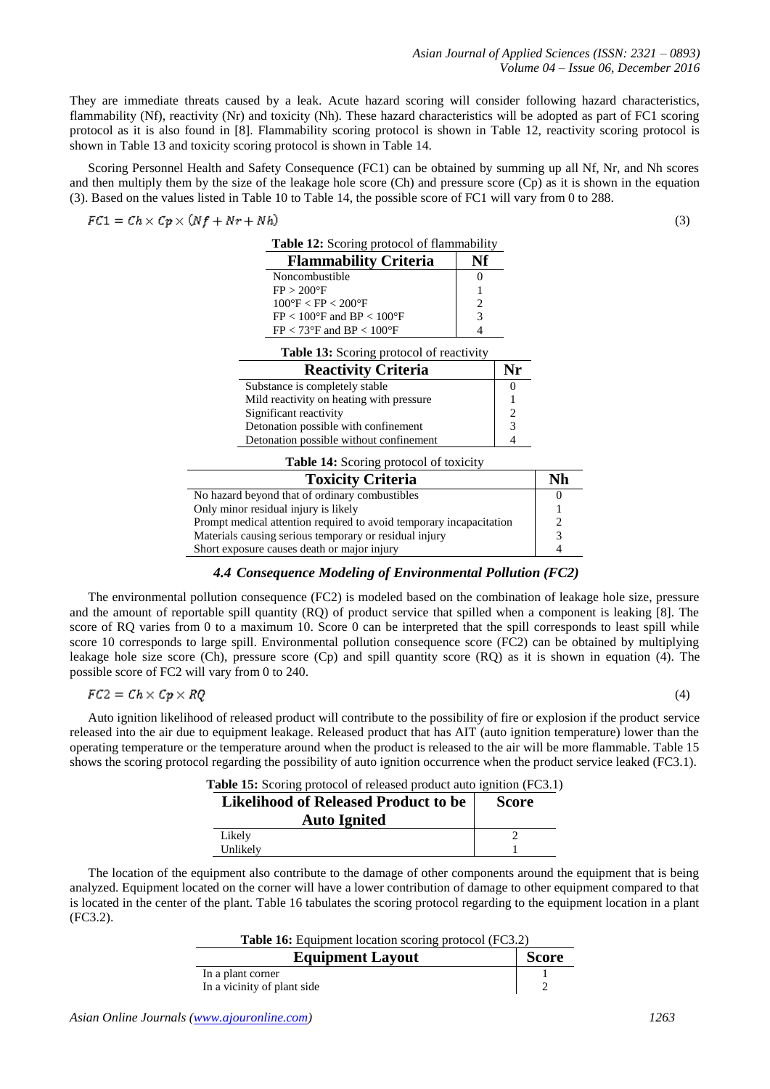They are immediate threats caused by a leak. Acute hazard scoring will consider following hazard characteristics, flammability (Nf), reactivity (Nr) and toxicity (Nh). These hazard characteristics will be adopted as part of FC1 scoring protocol as it is also found in [8]. Flammability scoring protocol is shown in Table 12, reactivity scoring protocol is shown in Table 13 and toxicity scoring protocol is shown in Table 14.

Scoring Personnel Health and Safety Consequence (FC1) can be obtained by summing up all Nf, Nr, and Nh scores and then multiply them by the size of the leakage hole score (Ch) and pressure score (Cp) as it is shown in the equation (3). Based on the values listed in Table 10 to Table 14, the possible score of FC1 will vary from 0 to 288.

$$
FC1 = Ch \times Cp \times (Nf + Nr + Nh)
$$

| <b>Flammability Criteria</b>                                                  | Nf |          |
|-------------------------------------------------------------------------------|----|----------|
| Noncombustible                                                                |    |          |
| $FP > 200^{\circ}F$                                                           |    |          |
| $100\text{°F}$ < FP < 200°F                                                   |    |          |
| $FP < 100^{\circ}F$ and $BP < 100^{\circ}F$                                   | 3  |          |
| $FP < 73^{\circ}F$ and $BP < 100^{\circ}F$                                    |    |          |
|                                                                               |    |          |
| <b>Table 13:</b> Scoring protocol of reactivity<br><b>Reactivity Criteria</b> |    | Nr       |
| Substance is completely stable                                                |    | $\theta$ |
| Mild reactivity on heating with pressure                                      |    |          |
| Significant reactivity                                                        |    | 2        |
| Detonation possible with confinement                                          |    | 3        |

| <b>Toxicity Criteria</b>                                            | Nh |
|---------------------------------------------------------------------|----|
| No hazard beyond that of ordinary combustibles                      |    |
| Only minor residual injury is likely                                |    |
| Prompt medical attention required to avoid temporary incapacitation |    |
| Materials causing serious temporary or residual injury              | っ  |
| Short exposure causes death or major injury                         |    |

#### *4.4 Consequence Modeling of Environmental Pollution (FC2)*

The environmental pollution consequence (FC2) is modeled based on the combination of leakage hole size, pressure and the amount of reportable spill quantity (RQ) of product service that spilled when a component is leaking [8]. The score of RQ varies from 0 to a maximum 10. Score 0 can be interpreted that the spill corresponds to least spill while score 10 corresponds to large spill. Environmental pollution consequence score (FC2) can be obtained by multiplying leakage hole size score (Ch), pressure score (Cp) and spill quantity score (RQ) as it is shown in equation (4). The possible score of FC2 will vary from 0 to 240.

$$
FC2 = Ch \times Cp \times RQ
$$

(4)

(3)

Auto ignition likelihood of released product will contribute to the possibility of fire or explosion if the product service released into the air due to equipment leakage. Released product that has AIT (auto ignition temperature) lower than the operating temperature or the temperature around when the product is released to the air will be more flammable. Table 15 shows the scoring protocol regarding the possibility of auto ignition occurrence when the product service leaked (FC3.1).

|  |  | Table 15: Scoring protocol of released product auto ignition (FC3.1) |  |  |  |  |  |  |  |  |
|--|--|----------------------------------------------------------------------|--|--|--|--|--|--|--|--|
|  |  | ________                                                             |  |  |  |  |  |  |  |  |

| <b>Likelihood of Released Product to be</b><br><b>Auto Ignited</b> | <b>Score</b> |
|--------------------------------------------------------------------|--------------|
| Likely                                                             |              |
| Unlikely                                                           |              |

The location of the equipment also contribute to the damage of other components around the equipment that is being analyzed. Equipment located on the corner will have a lower contribution of damage to other equipment compared to that is located in the center of the plant. Table 16 tabulates the scoring protocol regarding to the equipment location in a plant (FC3.2).

**Table 16:** Equipment location scoring protocol (FC3.2)

| <b>Equipment Layout</b>     | <b>Score</b> |
|-----------------------------|--------------|
| In a plant corner           |              |
| In a vicinity of plant side |              |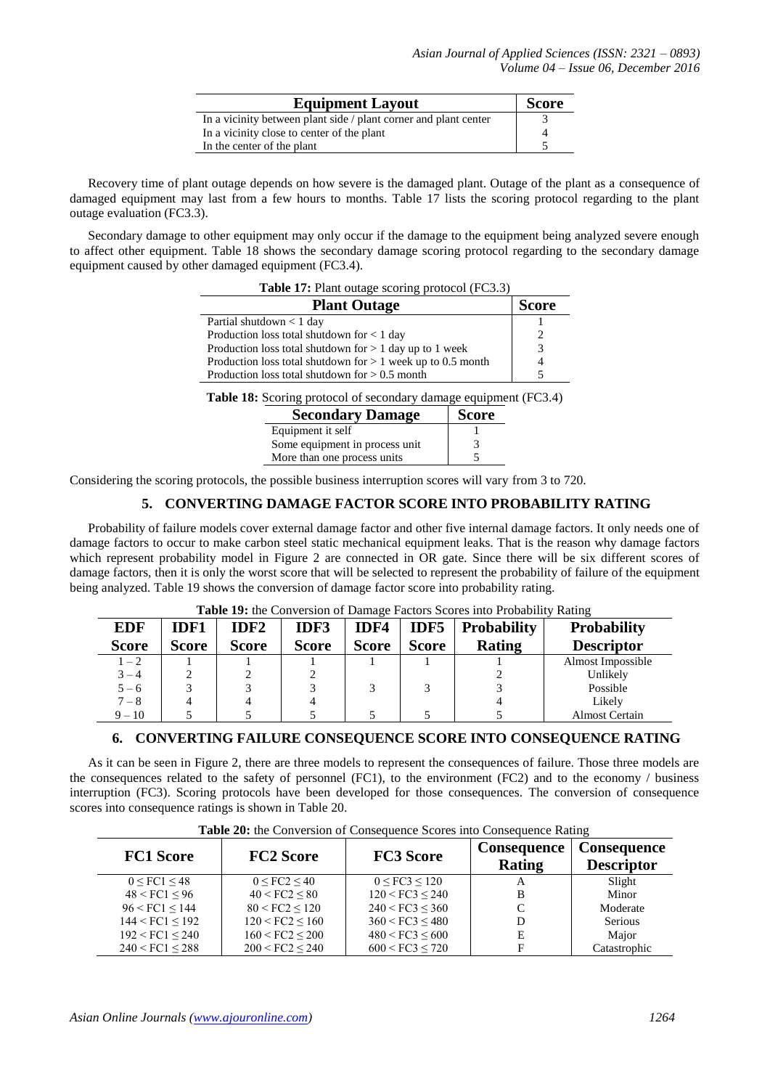| <b>Equipment Layout</b>                                          | <b>Score</b> |
|------------------------------------------------------------------|--------------|
| In a vicinity between plant side / plant corner and plant center |              |
| In a vicinity close to center of the plant                       |              |
| In the center of the plant                                       |              |

Recovery time of plant outage depends on how severe is the damaged plant. Outage of the plant as a consequence of damaged equipment may last from a few hours to months. Table 17 lists the scoring protocol regarding to the plant outage evaluation (FC3.3).

Secondary damage to other equipment may only occur if the damage to the equipment being analyzed severe enough to affect other equipment. Table 18 shows the secondary damage scoring protocol regarding to the secondary damage equipment caused by other damaged equipment (FC3.4).

| <b>Table 17:</b> Plant outage scoring protocol (FC3.3)        |               |  |  |  |
|---------------------------------------------------------------|---------------|--|--|--|
| <b>Plant Outage</b>                                           | <b>Score</b>  |  |  |  |
| Partial shutdown $< 1$ day                                    |               |  |  |  |
| Production loss total shutdown for < 1 day                    |               |  |  |  |
| Production loss total shutdown for $> 1$ day up to 1 week     | $\mathcal{R}$ |  |  |  |
| Production loss total shutdown for $> 1$ week up to 0.5 month |               |  |  |  |
| Production loss total shutdown for $> 0.5$ month              |               |  |  |  |

**Table 18:** Scoring protocol of secondary damage equipment (FC3.4)

| <b>Secondary Damage</b>        | <b>Score</b> |
|--------------------------------|--------------|
| Equipment it self              |              |
| Some equipment in process unit |              |
| More than one process units    |              |

Considering the scoring protocols, the possible business interruption scores will vary from 3 to 720.

#### **5. CONVERTING DAMAGE FACTOR SCORE INTO PROBABILITY RATING**

Probability of failure models cover external damage factor and other five internal damage factors. It only needs one of damage factors to occur to make carbon steel static mechanical equipment leaks. That is the reason why damage factors which represent probability model in Figure 2 are connected in OR gate. Since there will be six different scores of damage factors, then it is only the worst score that will be selected to represent the probability of failure of the equipment being analyzed. Table 19 shows the conversion of damage factor score into probability rating.

| <b>Table 19:</b> the Conversion of Damage Pactors Scores must probability Kating |              |                  |              |              |              |                    |                       |  |
|----------------------------------------------------------------------------------|--------------|------------------|--------------|--------------|--------------|--------------------|-----------------------|--|
| <b>EDF</b>                                                                       | <b>IDF1</b>  | IDF <sub>2</sub> | IDF3         | IDF4         | IDF5         | <b>Probability</b> | <b>Probability</b>    |  |
| <b>Score</b>                                                                     | <b>Score</b> | <b>Score</b>     | <b>Score</b> | <b>Score</b> | <b>Score</b> | Rating             | <b>Descriptor</b>     |  |
| $1 - 2$                                                                          |              |                  |              |              |              |                    | Almost Impossible     |  |
| $3 - 4$                                                                          |              |                  |              |              |              |                    | Unlikely              |  |
| $5 - 6$                                                                          |              |                  |              |              |              |                    | Possible              |  |
| $7 - 8$                                                                          |              |                  |              |              |              |                    | Likely                |  |
| $9 - 10$                                                                         |              |                  |              |              |              |                    | <b>Almost Certain</b> |  |

## **Table 19:** the Conversion of Damage Factors Scores into Probability Rating

#### **6. CONVERTING FAILURE CONSEQUENCE SCORE INTO CONSEQUENCE RATING**

As it can be seen in Figure 2, there are three models to represent the consequences of failure. Those three models are the consequences related to the safety of personnel (FC1), to the environment (FC2) and to the economy / business interruption (FC3). Scoring protocols have been developed for those consequences. The conversion of consequence scores into consequence ratings is shown in Table 20.

| <b>FC1 Score</b>        | <b>FC2 Score</b>        | <b>FC3 Score</b>       | <b>Consequence</b><br>Rating | Consequence<br><b>Descriptor</b> |
|-------------------------|-------------------------|------------------------|------------------------------|----------------------------------|
| $0 \leq FC1 \leq 48$    | 0 < F C2 < 40           | $0 \leq FC3 \leq 120$  | A                            | Slight                           |
| $48 <$ FC1 $< 96$       | 40 < FC2 < 80           | 120 < FC3 < 240        |                              | Minor                            |
| $96 <$ FC1 $\leq$ 144   | 80 < FC2 < 120          | 240 < FC3 < 360        |                              | Moderate                         |
| $144 <$ FC1 $\le$ 192   | $120 \leq FC2 \leq 160$ | 360 < FC3 < 480        |                              | Serious                          |
| $192 \leq FCl \leq 240$ | $160 <$ FC2 $<$ 200     | $480 <$ FC3 $\leq 600$ | E                            | Major                            |
| 240 < FCl < 288         | 200 < FC2 < 240         | 600 < FC3 < 720        |                              | Catastrophic                     |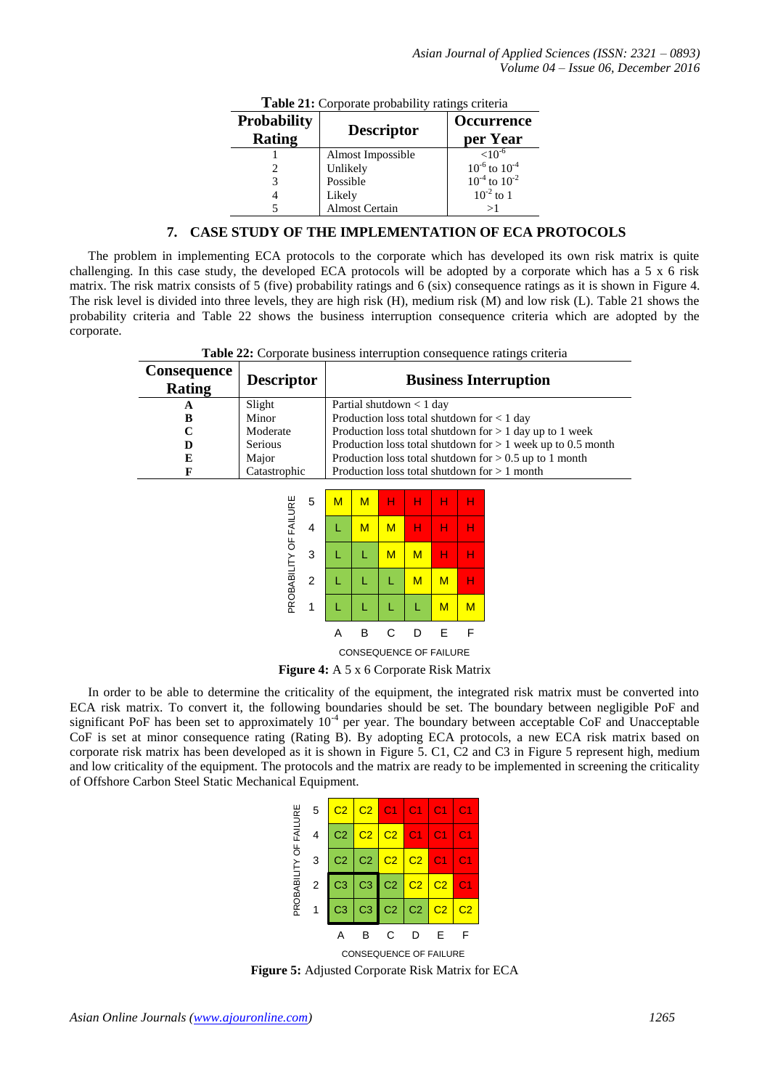| Table 21: Corporate probability ratings criteria |                       |                        |  |  |  |  |  |
|--------------------------------------------------|-----------------------|------------------------|--|--|--|--|--|
| <b>Probability</b>                               |                       | <b>Occurrence</b>      |  |  |  |  |  |
| <b>Rating</b>                                    | <b>Descriptor</b>     | per Year               |  |  |  |  |  |
|                                                  | Almost Impossible     | ${<}10^{-6}$           |  |  |  |  |  |
| 2                                                | Unlikely              | $10^{-6}$ to $10^{-4}$ |  |  |  |  |  |
| 3                                                | Possible              | $10^{-4}$ to $10^{-2}$ |  |  |  |  |  |
| 4                                                | Likely                | $10^{-2}$ to 1         |  |  |  |  |  |
|                                                  | <b>Almost Certain</b> | >1                     |  |  |  |  |  |

#### **7. CASE STUDY OF THE IMPLEMENTATION OF ECA PROTOCOLS**

The problem in implementing ECA protocols to the corporate which has developed its own risk matrix is quite challenging. In this case study, the developed ECA protocols will be adopted by a corporate which has a 5 x 6 risk matrix. The risk matrix consists of 5 (five) probability ratings and 6 (six) consequence ratings as it is shown in Figure 4. The risk level is divided into three levels, they are high risk (H), medium risk (M) and low risk (L). Table 21 shows the probability criteria and Table 22 shows the business interruption consequence criteria which are adopted by the corporate.

**Table 22:** Corporate business interruption consequence ratings criteria

| Consequence<br>Rating | <b>Descriptor</b>      | <b>Business Interruption</b>  |   |                               |             |                  |                  |                  |                                                               |
|-----------------------|------------------------|-------------------------------|---|-------------------------------|-------------|------------------|------------------|------------------|---------------------------------------------------------------|
| A                     | Slight                 | Partial shutdown $< 1$ day    |   |                               |             |                  |                  |                  |                                                               |
| B                     | Minor                  |                               |   |                               |             |                  |                  |                  | Production loss total shutdown for $< 1$ day                  |
| $\mathbf C$           | Moderate               |                               |   |                               |             |                  |                  |                  | Production loss total shutdown for $> 1$ day up to 1 week     |
| D                     | Serious                |                               |   |                               |             |                  |                  |                  | Production loss total shutdown for $> 1$ week up to 0.5 month |
| E                     | Major                  |                               |   |                               |             |                  |                  |                  | Production loss total shutdown for $> 0.5$ up to 1 month      |
| F                     | Catastrophic           |                               |   |                               |             |                  |                  |                  | Production loss total shutdown for $> 1$ month                |
|                       | PROBABILITY OF FAILURE | 5<br>$\overline{4}$<br>3<br>2 | M | M<br>M<br>L<br>L              | н<br>M<br>M | н<br>н<br>M<br>M | н<br>н<br>н<br>M | н<br>н<br>н<br>н |                                                               |
|                       |                        | $\mathbf{1}$                  |   | L                             |             | L                | M                | M                |                                                               |
|                       |                        |                               | A | B                             | C           | D                | E                | F                |                                                               |
|                       |                        |                               |   | <b>CONSEQUENCE OF FAILURE</b> |             |                  |                  |                  |                                                               |
|                       |                        |                               |   |                               |             |                  |                  |                  |                                                               |

**Figure 4:** A 5 x 6 Corporate Risk Matrix

In order to be able to determine the criticality of the equipment, the integrated risk matrix must be converted into ECA risk matrix. To convert it, the following boundaries should be set. The boundary between negligible PoF and significant PoF has been set to approximately  $10<sup>-4</sup>$  per year. The boundary between acceptable CoF and Unacceptable CoF is set at minor consequence rating (Rating B). By adopting ECA protocols, a new ECA risk matrix based on corporate risk matrix has been developed as it is shown in Figure 5. C1, C2 and C3 in Figure 5 represent high, medium and low criticality of the equipment. The protocols and the matrix are ready to be implemented in screening the criticality of Offshore Carbon Steel Static Mechanical Equipment.

|                | 5                      | C2 | $C2$ $\mid$    | $\overline{\phantom{0}}$ C1 | $-C1$                   | C <sub>1</sub>         | 01             |  |
|----------------|------------------------|----|----------------|-----------------------------|-------------------------|------------------------|----------------|--|
| FAILURE        |                        | C2 | C2             | C <sub>2</sub>              | $\overline{\text{C}}$ 1 | С1                     | C1             |  |
|                | 3                      | C2 | C <sub>2</sub> | C <sub>2</sub>              | C <sub>2</sub>          | C <sub>1</sub>         | C <sub>1</sub> |  |
| PROBABILITY OF | $\overline{2}$         | C3 | C <sub>3</sub> | C <sub>2</sub>              | C <sub>2</sub>          | $\overline{\text{C2}}$ | C1             |  |
|                |                        | C3 | C3             | C <sub>2</sub>              | C <sub>2</sub>          | C <sub>2</sub>         | C <sub>2</sub> |  |
|                |                        |    |                | C                           | ו ו                     | F                      |                |  |
|                | CONSEQUENCE OF FAILURE |    |                |                             |                         |                        |                |  |

**Figure 5:** Adjusted Corporate Risk Matrix for ECA